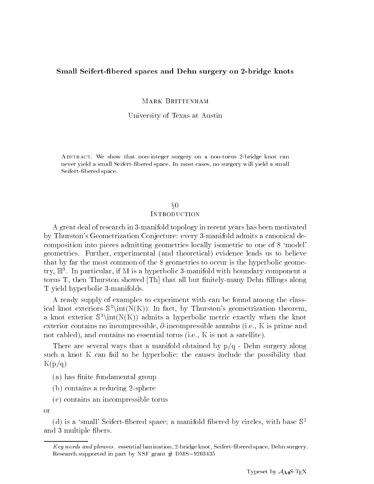### Small Seifert-bered spaces and Dehn surgery on 2-bridge knots

MARK BRITTENHAM

University of Texas at Austin

Abstract. We show that non-integer surgery on a non-torus 2-bridge knot can never yield a small Seifert-bered space. In most cases, no surgery will yield a small Seifert-bered space.

# $\S{0}$ **INTRODUCTION**

A great deal of research in 3-manifold topology in recent years has been motivated by Thurston's Geometrization Conjecture: every 3-manifold admits a canonical decomposition into pieces admitting geometries locally isometric to one of 8 `model' geometries. Further, experimental (and theoretical) evidence leads us to believe that by far the most common of the 8 geometries to occur is the hyperbolic geometry,  $\mathbb{H}^\circ$ . In particular, if M is a hyperbolic 3-manifold with boundary component a torus  $T$ , then Thurston showed  $[Th]$  that all but finitely-many Dehn fillings along T yield hyperbolic 3-manifolds.

A ready supply of examples to experiment with can be found among the classical knot exteriors  $\mathbb{S}^3\in(N(K))$ . In fact, by Thurston's geometrization theorem, a knot exterior  $\mathbb{S}^3\setminus \text{int}(N(K))$  admits a hyperbolic metric exactly when the knot exterior contains no incompressible,  $\partial$ -incompressible annulus (i.e., K is prime and not cabled), and contains no essential torus (i.e., K is not a satellite).

There are several ways that a manifold obtained by  $p/q$  - Dehn surgery along such a knot K can fail to be hyperbolic; the causes include the possibility that  $K(p/q)$ 

- (a) has finite fundamental group
- (b) contains a reducing 2-sphere
- (c) contains an incompressible torus

or

(d) is a 'small' Seifert-fibered space; a manifold fibered by circles, with base  $\mathbb{S}^2$ and 3 multiple bers.

Key words and phrases. essential lamination, 2-bridge knot, Seifert-bered space, Dehn surgery. Research supported in part by NSF grant  $#$  DMS-9203435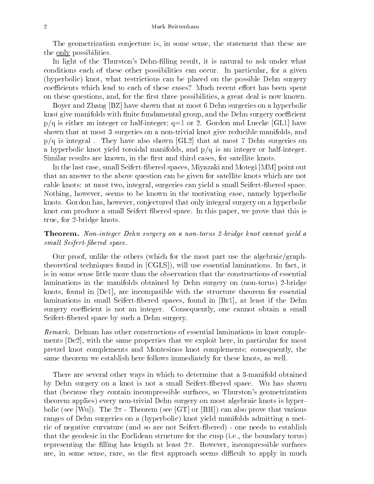The geometrization conjecture is, in some sense, the statement that these are the <u>only</u> possibilities.

In light of the Thurston's Dehn-filling result, it is natural to ask under what conditions each of these other possibilities can occur. In particular, for a given (hyperbolic) knot, what restrictions can be placed on the possible Dehn surgery coefficients which lead to each of these cases? Much recent effort has been spent on these questions, and, for the first three possibilities, a great deal is now known.

Boyer and Zhang [BZ] have shown that at most 6 Dehn surgeries on a hyperbolic knot give manifolds with finite fundamental group, and the Dehn surgery coefficient  $p/q$  is either an integer or half-integer;  $q=1$  or 2. Gordon and Luecke [GL1] have shown that at most 3 surgeries on a non-trivial knot give reducible manifolds, and  $p/q$  is integral. They have also shown [GL2] that at most 7 Dehn surgeries on a hyperbolic knot yield toroidal manifolds, and  $p/q$  is an integer or half-integer. Similar results are known, in the first and third cases, for satellite knots.

In the last case, small Seifert-bered spaces, Miyazaki and Motegi [MM] point out that an answer to the above question can be given for satellite knots which are not cable knots: at most two, integral, surgeries can yield a small Seifert-bered space. Nothing, however, seems to be known in the motivating case, namely hyperbolic knots. Gordon has, however, conjectured that only integral surgery on a hyperbolic knot can produce a small Seifert bered space. In this paper, we prove that this is true, for 2-bridge knots.

Theorem. Non-integer Dehn surgery on a non-torus 2-bridge knot cannot yield a  $small\;Seifert\;fibered\; space.$ 

Our proof, unlike the others (which for the most part use the algebraic/graphtheoretical techniques found in [CGLS]), will use essential laminations. In fact, it is in some sense little more than the observation that the constructions of essential laminations in the manifolds obtained by Dehn surgery on (non-torus) 2-bridge knots, found in [De1], are incompatible with the structure theorem for essential laminations in small Seifert-bered spaces, found in [Br1], at least if the Dehn surgery coefficient is not an integer. Consequently, one cannot obtain a small Seifert-bered space by such a Dehn surgery.

Remark. Delman has other constructions of essential laminations in knot complements [De2], with the same properties that we exploit here, in particular for most pretzel knot complements and Montesinos knot complements; consequently, the same theorem we establish here follows immediately for these knots, as well.

There are several other ways in which to determine that a 3-manifold obtained by Dehn surgery on a knot is not a small Seifert-bered space. Wu has shown that (because they contain incompressible surfaces, so Thurston's geometrization theorem applies) every non-trivial Dehn surgery on most algebraic knots is hyperbolic (see [Wu]). The  $2\pi$  - Theorem (see [GT] or [BH]) can also prove that various ranges of Dehn surgeries on a (hyperbolic) knot yield manifolds admitting a metric of negative curvature (and so are not Seifert-bered) - one needs to establish that the geodesic in the Euclidean structure for the cusp (i.e., the boundary torus) representing the filling has length at least  $2\pi$ . However, incompressible surfaces are, in some sense, rare, so the first approach seems difficult to apply in much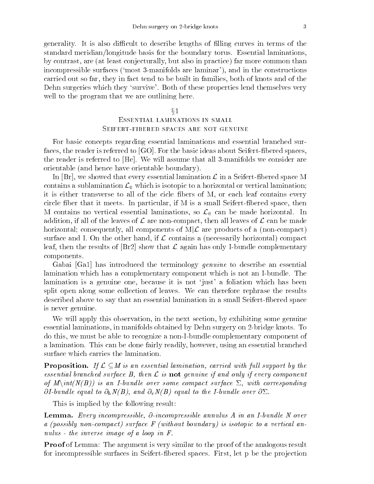generality. It is also difficult to describe lengths of filling curves in terms of the standard meridian/longitude basis for the boundary torus. Essential laminations, by contrast, are (at least conjecturally, but also in practice) far more common than incompressible surfaces (`most 3-manifolds are laminar'), and in the constructions carried out so far, they in fact tend to be built in families, both of knots and of the Dehn surgeries which they 'survive'. Both of these properties lend themselves very well to the program that we are outlining here.

## $\S1$ Essential laminations in smallSeifert-fibered spaces are not genuine

For basic concepts regarding essential laminations and essential branched surfaces, the reader is referred to  $[GO]$ . For the basic ideas about Seifert-fibered spaces, the reader is referred to [He]. We will assume that all 3-manifolds we consider are orientable (and hence have orientable boundary).

In  $|Br|$ , we showed that every essential lamination  $\mathcal L$  in a Seifert-fibered space M contains a sublamination  $\mathcal{L}_0$  which is isotopic to a horizontal or vertical lamination; it is either transverse to all of the cicle fibers of M, or each leaf contains every circle ber that it meets. In particular, if M is a small Seifert-bered space, then M contains no vertical essential laminations, so  $\mathcal{L}_0$  can be made horizontal. In addition, if all of the leaves of  $\mathcal L$  are non-compact, then all leaves of  $\mathcal L$  can be made horizontal; consequently, all components of  $M/\mathcal{L}$  are products of a (non-compact) surface and I. On the other hand, if  $\mathcal L$  contains a (necessarily horizontal) compact leaf, then the results of  $|Br2|$  show that  $\mathcal L$  again has only I-bundle complementary components.

Gabai [Ga1] has introduced the terminology *genuine* to describe an essential lamination which has a complementary component which is not an I-bundle. The lamination is a genuine one, because it is not `just' a foliation which has been split open along some collection of leaves. We can therefore rephrase the results described above to say that an essential lamination in a small Seifert-bered space is never genuine.

We will apply this observation, in the next section, by exhibiting some genuine essential laminations, in manifolds obtained by Dehn surgery on 2-bridge knots. To do this, we must be able to recognize a non-I-bundle complementary component of a lamination. This can be done fairly readily, however, using an essential branched surface which carries the lamination.

**Proposition.** If  $\mathcal{L} \subseteq M$  is an essential lamination, carried with full support by the essential branched surface B, then  $\mathcal L$  is not genuine if and only if every component of  $M\setminus int(N(B))$  is an I-bundle over some compact surface  $\Sigma$ , with corresponding  $\partial I$ -bundle equal to  $\partial_h N(B)$ , and  $\partial_v N(B)$  equal to the I-bundle over  $\partial \Sigma$ .

This is implied by the following result:

**Lemma.** Every incompressible,  $\partial$ -incompressible annulus A in an I-bundle N over a (possibly non-compact) surface F (without boundary) is isotopic to a vertical annulus - the inverse image of a loop in F.

**Proof** of Lemma: The argument is very similar to the proof of the analogous result for incompressible surfaces in Seifert-fibered spaces. First, let p be the projection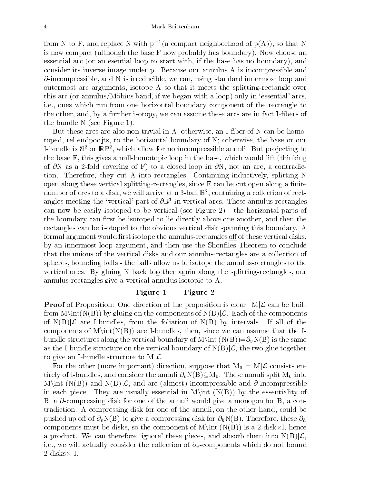from N to F, and replace N with p<sup>1</sup> (a compact neighborhood of  $p(A)$ ), so that N is now compact (although the base F now probably has boundary). Now choose an essential arc (or an esential loop to start with, if the base has no boundary), and consider its inverse image under p. Because our annulus A is incompressible and  $\partial$ -incompressible, and N is irreducible, we can, using standard innermost loop and outermost arc arguments, isotope A so that it meets the splitting-rectangle over this arc (or annulus/Möbius band, if we began with a loop) only in 'essential' arcs, i.e., ones which run from one horizontal boundary component of the rectangle to the other, and, by a further isotopy, we can assume these arcs are in fact I-fibers of the bundle N (see Figure 1).

But these arcs are also non-trivial in A; otherwise, an I-fiber of N can be homotoped, rel endpoojts, to the horizontal boundary of  $N$ ; otherwise, the base or our I-bundle is S2 or RP2 , which allow for no incompressible annuli. But pro jecting to the base F, this gives a null-homotopic loop in the base, which would lift (thinking of  $\partial N$  as a 2-fold covering of F) to a closed loop in  $\partial N$ , not an arc, a contradiction. Therefore, they cut A into rectangles. Continuing inductively, splitting N open along these vertical splitting-rectangles, since  $F$  can be cut open along a finite number of arcs to a disk, we will arrive at a 3-ball <sup>B</sup> <sup>3</sup> , containing a collection of rectangles meeting the 'vertical' part of  $\partial \mathbb{B}^3$  in vertical arcs. These annulus-rectangles can now be easily isotoped to be vertical (see Figure 2) - the horizontal parts of the boundary can first be isotoped to lie directly above one another, and then the rectangles can be isotoped to the obvious vertical disk spanning this boundary. A formal argument would first isotope the annulus-rectangles of fof these vertical disks, by an innermost loop argument, and then use the Shonflies Theorem to conclude that the unions of the vertical disks and our annulus-rectangles are a collection of spheres, bounding balls - the balls allow us to isotope the annulus-rectangles to the vertical ones. By gluing N back together again along the splitting-rectangles, our annulus-rectangles give a vertical annulus isotopic to A.

### Figure 1 Figure 2

**Proof** of Proposition: One direction of the proposition is clear.  $M|\mathcal{L}$  can be built from  $M\int(N(B))$  by gluing on the components of  $N(B)|\mathcal{L}$ . Each of the components of  $N(B)|\mathcal{L}$  are I-bundles, from the foliation of  $N(B)$  by intervals. If all of the components of  $M\int(N(B))$  are I-bundles, then, since we can assume that the Ibundle structures along the vertical boundary of  $M\in (N(B))=\partial_vN(B)$  is the same as the I-bundle structure on the vertical boundary of  $N(B)|\mathcal{L}$ , the two glue together to give an I-bundle structure to  $M/\mathcal{L}$ .

For the other (more important) direction, suppose that  $M_0 = M\mathcal{L}$  consists entirely of I-bundles, and consider the annuli  $\partial_v N(B) \subseteq M_0$ . These annuli split  $M_0$  into M int  $(N(B))$  and  $N(B)|\mathcal{L}$ , and are (almost) incompressible and  $\partial$ -incompressible in each piece. They are usually essential in  $M\int int (N(B))$  by the essentiality of B; a  $\partial$ -compressing disk for one of the annuli would give a monogon for B, a contradiction. A compressing disk for one of the annuli, on the other hand, could be pushed up off of  $\partial_n N(B)$  to give a compressing disk for  $\partial_h N(B)$ . Therefore, these  $\partial_h$ components must be disks, so the component of Main (NG) is a 2-diska product. We can therefore 'ignore' these pieces, and absorb them into  $N(B)|\mathcal{L}$ , i.e., we will actually consider the collection of  $\partial_v$ -components which do not bound 2-disks- I.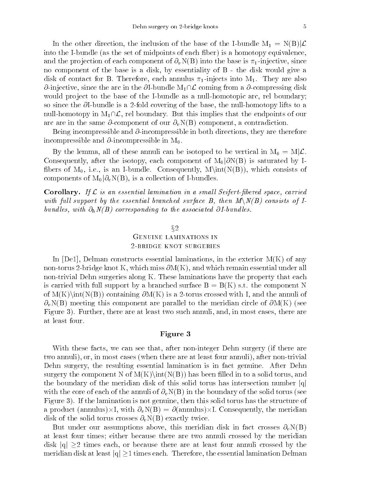In the other direction, the inclusion of the base of the I-bundle  $M_1 = N(B)|\mathcal{L}$ into the I-bundle (as the set of midpoints of each fiber) is a homotopy equivalence, and the projection of each component of  $\partial_v N(B)$  into the base is  $\pi_1$ -injective, since no component of the base is a disk, by essentiality of B - the disk would give a disk of contact for B. Therefore, each annulus  $\pi_1$ -injects into  $M_1$ . They are also  $\partial$ -injective, since the arc in the  $\partial$ I-bundle  $M_1\cap\mathcal{L}$  coming from a  $\partial$ -compressing disk would project to the base of the I-bundle as a null-homotopic arc, rel boundary; so since the  $\partial I$ -bundle is a 2-fold covering of the base, the null-homotopy lifts to a null-homotopy in  $M_1\cap\mathcal{L}$ , rel boundary. But this implies that the endpoints of our arc are in the same  $\partial$ -component of our  $\partial_vN(B)$  component, a contradiction.

Being incompressible and  $\partial$ -incompressible in both directions, they are therefore incompressible and  $\partial$ -incompressible in M<sub>0</sub>.

By the lemma, all of these annuli can be isotoped to be vertical in  $M_0 = M\mathcal{L}$ . Consequently, after the isotopy, each component of  $M_0|\partial N(B)$  is saturated by Ifibers of  $M_0$ , i.e., is an I-bundle. Consequently,  $M\int(N(B))$ , which consists of components of  $M_0|\partial_vN(B)|$ , is a collection of I-bundles.

**Corollary.** If  $\mathcal L$  is an essential lamination in a small Seifert-fibered space, carried with full support by the essential branched surface B, then  $M\setminus N(B)$  consists of Ibund les, with  $\partial_h N(B)$  corresponding to the associated  $\partial I$  bund les.

#### $\S 2$

### Genuine laminations in2-bridge knot surgeries

In  $[De1]$ , Delman constructs essential laminations, in the exterior  $M(K)$  of any non-torus 2-bridge knot K, which miss  $\partial M(K)$ , and which remain essential under all non-trivial Dehn surgeries along K. These laminations have the property that each is carried with full support by a branched surface  $B = B(K)$  s.t. the component N of  $M(K)\int (N(B))$  containing  $\partial M(K)$  is a 2-torus crossed with I, and the annuli of  $\partial_v N(B)$  meeting this component are parallel to the meridian circle of  $\partial M(K)$  (see Figure 3). Further, there are at least two such annuli, and, in most cases, there are at least four.

#### Figure 3

With these facts, we can see that, after non-integer Dehn surgery (if there are two annuli), or, in most cases (when there are at least four annuli), after non-trivial Dehn surgery, the resulting essential lamination is in fact genuine. After Dehn surgery the component N of  $M(K)\int(N(B))$  has been filled in to a solid torus, and the boundary of the meridian disk of this solid torus has intersection number  $|q|$ with the core of each of the annuli of  $\partial_v N(B)$  in the boundary of the solid torus (see Figure 3). If the lamination is not genuine, then this solid torus has the structure of a product (annulus)-i, with  $\theta$  , with  $\theta$  , with  $\theta$  and  $\theta$  and  $\theta$  and  $\theta$  and  $\theta$  and  $\theta$  and  $\theta$  and  $\theta$ disk of the solid torus crosses  $\partial_v N(B)$  exactly twice.

But under our assumptions above, this meridian disk in fact crosses  $\partial_v N(B)$ at least four times; either because there are two annuli crossed by the meridian disk  $|q| > 2$  times each, or because there are at least four annuli crossed by the meridian disk at least  $|q| \ge 1$  times each. Therefore, the essential lamination Delman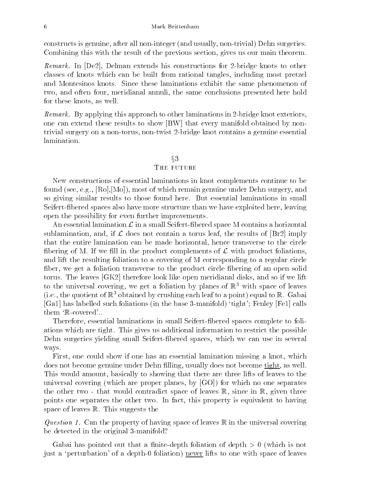constructs is genuine, after all non-integer (and usually, non-trivial) Dehn surgeries. Combining this with the result of the previous section, gives us our main theorem.

*Remark.* In  $|De2|$ , Delman extends his constructions for 2-bridge knots to other classes of knots which can be built from rational tangles, including most pretzel and Montesinos knots. Since these laminations exhibit the same phenomenon of two, and often four, meridianal annuli, the same conclusions presented here hold for these knots, as well.

Remark. By applying this approach to other laminations in 2-bridge knot exteriors, one can extend these results to show [BW] that every manifold obtained by nontrivial surgery on a non-torus, non-twist 2-bridge knot contains a genuine essential lamination.

### $\S 3$

#### THE FUTURE

New constructions of essential laminations in knot complements continue to be found (see, e.g., [Ro],[Mo]), most of which remain genuine under Dehn surgery, and so giving similar results to those found here. But essential laminations in small Seifert-bered spaces also have more structure than we have exploited here, leaving open the possibility for even further improvements.

An essential lamination  $\mathcal L$  in a small Seifert-fibered space M contains a horizontal sublamination, and, if  $\mathcal L$  does not contain a torus leaf, the results of  $[\text{Br2}]$  imply that the entire lamination can be made horizontal, hence transverse to the circle fibering of M. If we fill in the product complements of  $\mathcal L$  with product foliations, and lift the resulting foliation to a covering of M corresponding to a regular circle fiber, we get a foliation transverse to the product circle fibering of an open solid torus. The leaves [GK2] therefore look like open meridianal disks, and so if we lift to the universal covering, we get a foliation by planes of  $\mathbb{R}^3$  with space of leaves (i.e., the quotient of  $\mathbb{R}^3$  obtained by crushing each leaf to a point) equal to  $\mathbb{R}$ . Gabai [Ga1] has labelled such foliations (in the base 3-manifold) `tight'; Fenley [Fe1] calls them 'R-covered'..

Therefore, essential laminations in small Seifert-bered spaces complete to foliations which are tight. This gives us additional information to restrict the possible Dehn surgeries yielding small Seifert-bered spaces, which we can use in several ways.

First, one could show if one has an essential lamination missing a knot, which does not become genuine under Dehn filling, usually does not become <u>tight</u>, as well. This would amount, basically to showing that there are three lifts of leaves to the universal covering (which are proper planes, by [GO]) for which no one separates the other two - that would contradict space of leaves  $\mathbb{R}$ , since in  $\mathbb{R}$ , given three points one separates the other two. In fact, this property is equivalent to having space of leaves R. This suggests the

Question 1. Can the property of having space of leaves  $\mathbb R$  in the universal covering be detected in the original 3-manifold?

Gabai has pointed out that a finite-depth foliation of depth  $> 0$  (which is not just a 'perturbation' of a depth-0 foliation) never lifts to one with space of leaves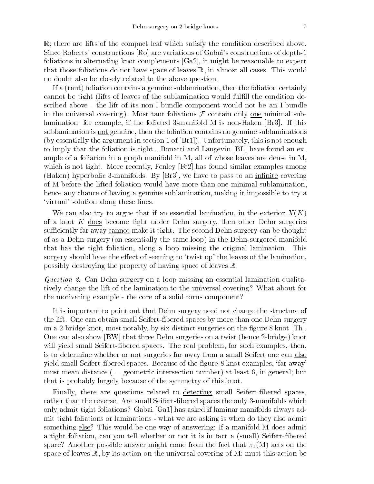R; there are lifts of the compact leaf which satisfy the condition described above. Since Roberts' constructions [Ro] are variations of Gabai's constructions of depth-1 foliations in alternating knot complements [Ga2], it might be reasonable to expect that those foliations do not have space of leaves R, in almost all cases. This would no doubt also be closely related to the above question.

If a (taut) foliation contains a genuine sublamination, then the foliation certainly cannot be tight (lifts of leaves of the sublamination would fulfill the condition described above - the lift of its non-I-bundle component would not be an I-bundle in the universal covering). Most taut foliations  $\mathcal F$  contain only <u>one</u> minimal sublamination; for example, if the foliated 3-manifold M is non-Haken [Br3]. If this sublamination is not genuine, then the foliation contains no genuine sublaminations (by essentially the argument in section 1 of [Br1]). Unfortunately, this is not enough to imply that the foliation is tight - Bonatti and Langevin [BL] have found an example of a foliation in a graph manifold in M, all of whose leaves are dense in M, which is not tight. More recently, Fenley  $[Fe2]$  has found similar examples among (Haken) hyperbolic 3-manifolds. By  $[\text{Br3}]$ , we have to pass to an infinite covering of M before the lifted foliation would have more than one minimal sublamination, hence any chance of having a genuine sublamination, making it impossible to try a `virtual' solution along these lines.

We can also try to argue that if an essential lamination, in the exterior  $X(K)$ of a knot  $K$  does become tight under Dehn surgery, then other Dehn surgeries sufficiently far away cannot make it tight. The second Dehn surgery can be thought of as a Dehn surgery (on essentially the same loop) in the Dehn-surgered manifold that has the tight foliation, along a loop missing the original lamination. This surgery should have the effect of seeming to 'twist up' the leaves of the lamination, possibly destroying the property of having space of leaves R.

Question 2. Can Dehn surgery on a loop missing an essential lamination qualitatively change the lift of the lamination to the universal covering? What about for the motivating example - the core of a solid torus component?

It is important to point out that Dehn surgery need not change the structure of the lift. One can obtain small Seifert-bered spaces by more than one Dehn surgery on a 2-bridge knot, most notably, by six distinct surgeries on the figure  $8 \text{ knot } | \text{Th} |$ . One can also show [BW] that three Dehn surgeries on a twist (hence 2-bridge) knot will yield small Seifert-fibered spaces. The real problem, for such examples, then, is to determine whether or not surgeries far away from a small Seifert one can also yield small Seifert-bered spaces. Because of the gure-8 knot examples, `far away' must mean distance ( = geometric intersection number) at least 6, in general; but that is probably largely because of the symmetry of this knot.

Finally, there are questions related to detecting small Seifert-fibered spaces, rather than the reverse. Are small Seifert-bered spaces the only 3-manifolds which only admit tight foliations? Gabai [Ga1] has asked if laminar manifolds always admit tight foliations or laminations - what we are asking is when do they also admit something else? This would be one way of answering: if a manifold M does admit a tight foliation, can you tell whether or not it is in fact a (small) Seifert-bered space? Another possible answer might come from the fact that  $\pi_1(M)$  acts on the space of leaves  $\mathbb{R}$ , by its action on the universal covering of M; must this action be